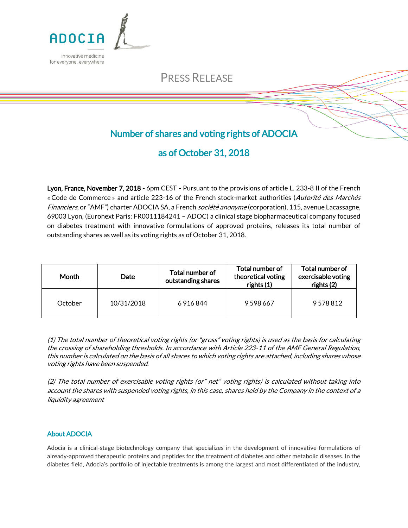

# PRESS RELEASE

## Number of shares and voting rights of ADOCIA

## as of October 31, 2018

Lyon, France, November 7, 2018 - 6pm CEST - Pursuant to the provisions of article L. 233-8 II of the French « Code de Commerce » and article 223-16 of the French stock-market authorities (Autorité des Marchés Financiers, or "AMF") charter ADOCIA SA, a French *société anonyme* (corporation), 115, avenue Lacassagne, 69003 Lyon, (Euronext Paris: FR0011184241 – ADOC) a clinical stage biopharmaceutical company focused on diabetes treatment with innovative formulations of approved proteins, releases its total number of outstanding shares as well as its voting rights as of October 31, 2018.

| Month   | <b>Date</b> | Total number of<br>outstanding shares | Total number of<br>theoretical voting<br>rights (1) | Total number of<br>exercisable voting<br>rights (2) |
|---------|-------------|---------------------------------------|-----------------------------------------------------|-----------------------------------------------------|
| October | 10/31/2018  | 6 9 1 6 8 4 4                         | 9598667                                             | 9578812                                             |

(1) The total number of theoretical voting rights (or "gross" voting rights) is used as the basis for calculating the crossing of shareholding thresholds. In accordance with Article 223-11 of the AMF General Regulation, this number is calculated on the basis of all shares to which voting rights are attached, including shares whose voting rights have been suspended.

(2) The total number of exercisable voting rights (or" net" voting rights) is calculated without taking into account the shares with suspended voting rights, in this case, shares held by the Company in the context of a liquidity agreement

### About ADOCIA

Adocia is a clinical-stage biotechnology company that specializes in the development of innovative formulations of already-approved therapeutic proteins and peptides for the treatment of diabetes and other metabolic diseases. In the diabetes field, Adocia's portfolio of injectable treatments is among the largest and most differentiated of the industry,